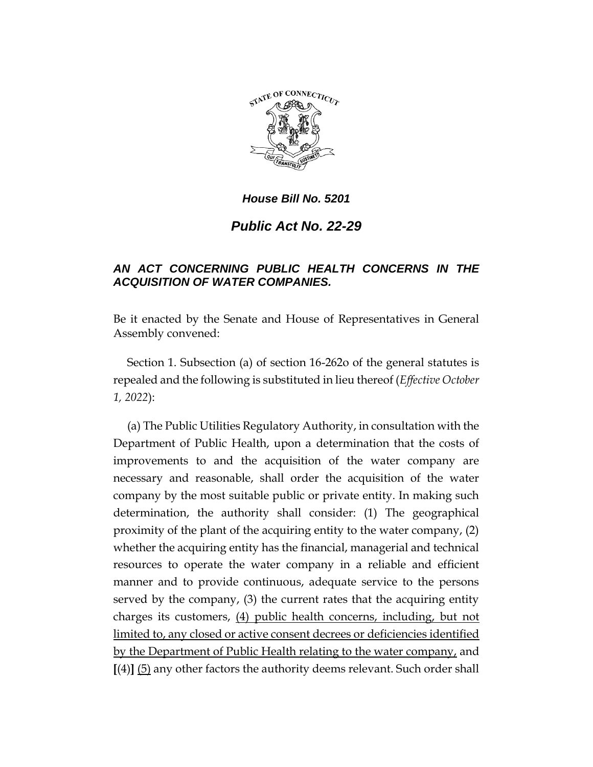

## *House Bill No. 5201*

## *Public Act No. 22-29*

## *AN ACT CONCERNING PUBLIC HEALTH CONCERNS IN THE ACQUISITION OF WATER COMPANIES.*

Be it enacted by the Senate and House of Representatives in General Assembly convened:

Section 1. Subsection (a) of section 16-262o of the general statutes is repealed and the following is substituted in lieu thereof (*Effective October 1, 2022*):

(a) The Public Utilities Regulatory Authority, in consultation with the Department of Public Health, upon a determination that the costs of improvements to and the acquisition of the water company are necessary and reasonable, shall order the acquisition of the water company by the most suitable public or private entity. In making such determination, the authority shall consider: (1) The geographical proximity of the plant of the acquiring entity to the water company, (2) whether the acquiring entity has the financial, managerial and technical resources to operate the water company in a reliable and efficient manner and to provide continuous, adequate service to the persons served by the company, (3) the current rates that the acquiring entity charges its customers, (4) public health concerns, including, but not limited to, any closed or active consent decrees or deficiencies identified by the Department of Public Health relating to the water company, and **[**(4)**]** (5) any other factors the authority deems relevant. Such order shall